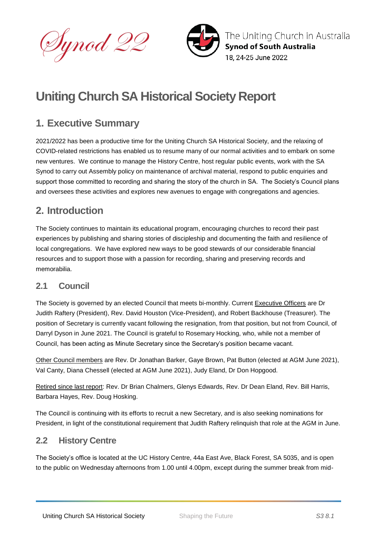



The Uniting Church in Australia **Synod of South Australia** 18. 24-25 June 2022

# **Uniting Church SA Historical Society Report**

### **1. Executive Summary**

2021/2022 has been a productive time for the Uniting Church SA Historical Society, and the relaxing of COVID-related restrictions has enabled us to resume many of our normal activities and to embark on some new ventures. We continue to manage the History Centre, host regular public events, work with the SA Synod to carry out Assembly policy on maintenance of archival material, respond to public enquiries and support those committed to recording and sharing the story of the church in SA. The Society's Council plans and oversees these activities and explores new avenues to engage with congregations and agencies.

### **2. Introduction**

The Society continues to maintain its educational program, encouraging churches to record their past experiences by publishing and sharing stories of discipleship and documenting the faith and resilience of local congregations. We have explored new ways to be good stewards of our considerable financial resources and to support those with a passion for recording, sharing and preserving records and memorabilia.

### **2.1 Council**

The Society is governed by an elected Council that meets bi-monthly. Current Executive Officers are Dr Judith Raftery (President), Rev. David Houston (Vice-President), and Robert Backhouse (Treasurer). The position of Secretary is currently vacant following the resignation, from that position, but not from Council, of Darryl Dyson in June 2021. The Council is grateful to Rosemary Hocking, who, while not a member of Council, has been acting as Minute Secretary since the Secretary's position became vacant.

Other Council members are Rev. Dr Jonathan Barker, Gaye Brown, Pat Button (elected at AGM June 2021), Val Canty, Diana Chessell (elected at AGM June 2021), Judy Eland, Dr Don Hopgood.

Retired since last report: Rev. Dr Brian Chalmers, Glenys Edwards, Rev. Dr Dean Eland, Rev. Bill Harris, Barbara Hayes, Rev. Doug Hosking.

The Council is continuing with its efforts to recruit a new Secretary, and is also seeking nominations for President, in light of the constitutional requirement that Judith Raftery relinquish that role at the AGM in June.

### **2.2 History Centre**

The Society's office is located at the UC History Centre, 44a East Ave, Black Forest, SA 5035, and is open to the public on Wednesday afternoons from 1.00 until 4.00pm, except during the summer break from mid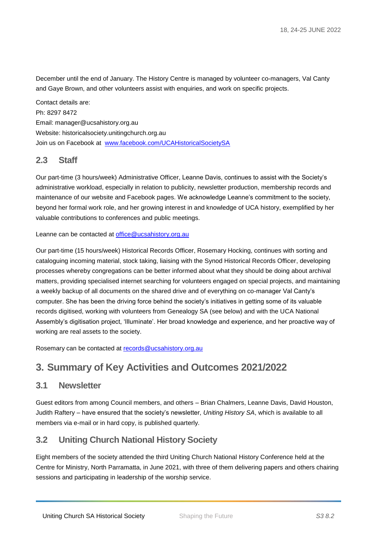December until the end of January. The History Centre is managed by volunteer co-managers, Val Canty and Gaye Brown, and other volunteers assist with enquiries, and work on specific projects.

Contact details are: Ph: 8297 8472 Email: manager@ucsahistory.org.au Website: historicalsociety.unitingchurch.org.au Join us on Facebook at [www.facebook.com/UCAHistoricalSocietySA](http://www.facebook.comucahistoricalsocietysa/) 

#### **2.3 Staff**

Our part-time (3 hours/week) Administrative Officer, Leanne Davis, continues to assist with the Society's administrative workload, especially in relation to publicity, newsletter production, membership records and maintenance of our website and Facebook pages. We acknowledge Leanne's commitment to the society, beyond her formal work role, and her growing interest in and knowledge of UCA history, exemplified by her valuable contributions to conferences and public meetings.

Leanne can be contacted at [office@ucsahistory.org.au](mailto:office@ucsahistory.org.au)

Our part-time (15 hours/week) Historical Records Officer, Rosemary Hocking, continues with sorting and cataloguing incoming material, stock taking, liaising with the Synod Historical Records Officer, developing processes whereby congregations can be better informed about what they should be doing about archival matters, providing specialised internet searching for volunteers engaged on special projects, and maintaining a weekly backup of all documents on the shared drive and of everything on co-manager Val Canty's computer. She has been the driving force behind the society's initiatives in getting some of its valuable records digitised, working with volunteers from Genealogy SA (see below) and with the UCA National Assembly's digitisation project, 'Illuminate'. Her broad knowledge and experience, and her proactive way of working are real assets to the society.

Rosemary can be contacted at [records@ucsahistory.org.au](mailto:records@ucsahistory.org.au)

### **3. Summary of Key Activities and Outcomes 2021/2022**

#### **3.1 Newsletter**

Guest editors from among Council members, and others – Brian Chalmers, Leanne Davis, David Houston, Judith Raftery – have ensured that the society's newsletter, *Uniting History SA*, which is available to all members via e-mail or in hard copy, is published quarterly.

#### **3.2 Uniting Church National History Society**

Eight members of the society attended the third Uniting Church National History Conference held at the Centre for Ministry, North Parramatta, in June 2021, with three of them delivering papers and others chairing sessions and participating in leadership of the worship service.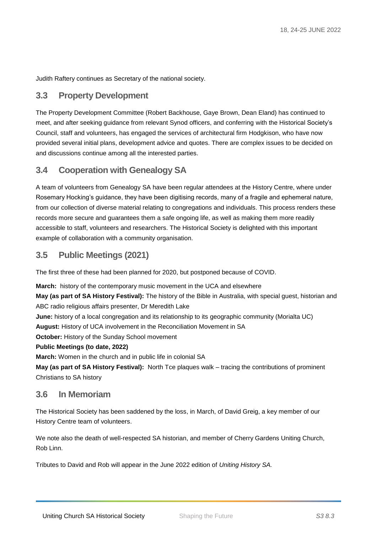Judith Raftery continues as Secretary of the national society.

#### **3.3 Property Development**

The Property Development Committee (Robert Backhouse, Gaye Brown, Dean Eland) has continued to meet, and after seeking guidance from relevant Synod officers, and conferring with the Historical Society's Council, staff and volunteers, has engaged the services of architectural firm Hodgkison, who have now provided several initial plans, development advice and quotes. There are complex issues to be decided on and discussions continue among all the interested parties.

#### **3.4 Cooperation with Genealogy SA**

A team of volunteers from Genealogy SA have been regular attendees at the History Centre, where under Rosemary Hocking's guidance, they have been digitising records, many of a fragile and ephemeral nature, from our collection of diverse material relating to congregations and individuals. This process renders these records more secure and guarantees them a safe ongoing life, as well as making them more readily accessible to staff, volunteers and researchers. The Historical Society is delighted with this important example of collaboration with a community organisation.

#### **3.5 Public Meetings (2021)**

The first three of these had been planned for 2020, but postponed because of COVID.

**March:** history of the contemporary music movement in the UCA and elsewhere **May (as part of SA History Festival):** The history of the Bible in Australia, with special guest, historian and ABC radio religious affairs presenter, Dr Meredith Lake

**June:** history of a local congregation and its relationship to its geographic community (Morialta UC)

**August:** History of UCA involvement in the Reconciliation Movement in SA

**October:** History of the Sunday School movement

#### **Public Meetings (to date, 2022)**

**March:** Women in the church and in public life in colonial SA

**May (as part of SA History Festival):** North Tce plaques walk – tracing the contributions of prominent Christians to SA history

#### **3.6 In Memoriam**

The Historical Society has been saddened by the loss, in March, of David Greig, a key member of our History Centre team of volunteers.

We note also the death of well-respected SA historian, and member of Cherry Gardens Uniting Church, Rob Linn.

Tributes to David and Rob will appear in the June 2022 edition of *Uniting History SA.*